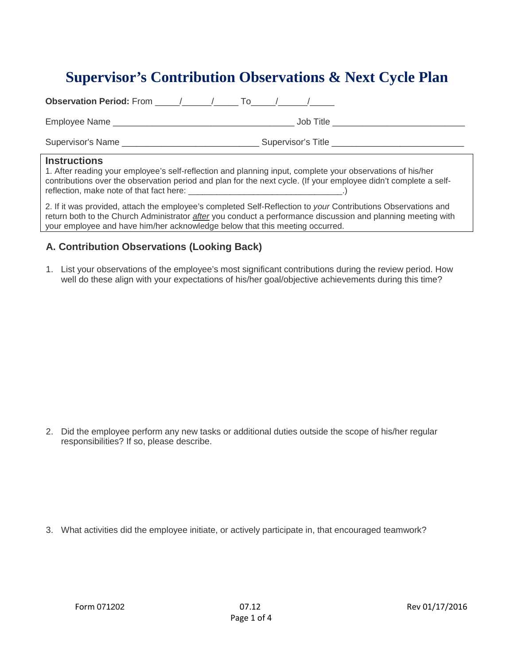# **Supervisor's Contribution Observations & Next Cycle Plan**

| <b>Observation Period:</b> From $\left( \begin{array}{ccc} & / & \end{array} \right)$ To $\left( \begin{array}{ccc} & / & \end{array} \right)$ |                                                                                                                                                                                                                                      |
|------------------------------------------------------------------------------------------------------------------------------------------------|--------------------------------------------------------------------------------------------------------------------------------------------------------------------------------------------------------------------------------------|
|                                                                                                                                                | Job Title in the state of the state of the state of the state of the state of the state of the state of the state of the state of the state of the state of the state of the state of the state of the state of the state of t       |
| Supervisor's Name                                                                                                                              | Supervisor's Title <b>Contract Contract Contract Contract Contract Contract Contract Contract Contract Contract Contract Contract Contract Contract Contract Contract Contract Contract Contract Contract Contract Contract Cont</b> |
| <b>Instructions</b>                                                                                                                            | 1. After reading your employee's self-reflection and planning input, complete your observations of his/her<br>contributions over the observation period and plan for the next cycle. (If your employee didn't complete a self-       |

2. If it was provided, attach the employee's completed Self-Reflection to *your* Contributions Observations and return both to the Church Administrator *after* you conduct a performance discussion and planning meeting with your employee and have him/her acknowledge below that this meeting occurred.

# **A. Contribution Observations (Looking Back)**

1. List your observations of the employee's most significant contributions during the review period. How well do these align with your expectations of his/her goal/objective achievements during this time?

2. Did the employee perform any new tasks or additional duties outside the scope of his/her regular responsibilities? If so, please describe.

3. What activities did the employee initiate, or actively participate in, that encouraged teamwork?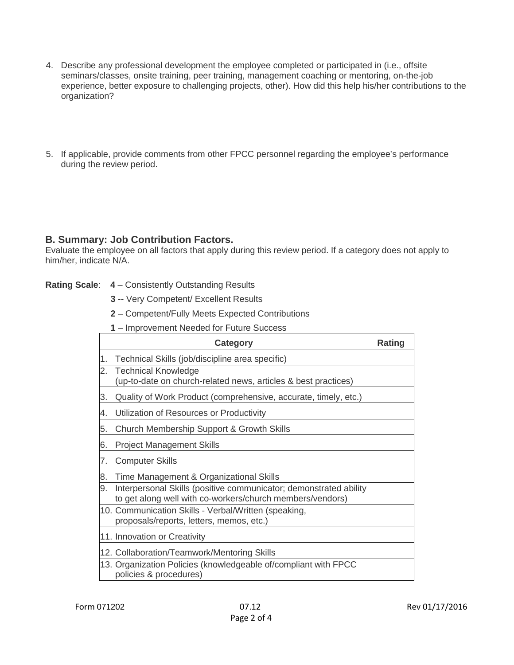- 4. Describe any professional development the employee completed or participated in (i.e., offsite seminars/classes, onsite training, peer training, management coaching or mentoring, on-the-job experience, better exposure to challenging projects, other). How did this help his/her contributions to the organization?
- 5. If applicable, provide comments from other FPCC personnel regarding the employee's performance during the review period.

### **B. Summary: Job Contribution Factors.**

Evaluate the employee on all factors that apply during this review period. If a category does not apply to him/her, indicate N/A.

#### **Rating Scale**: **4** – Consistently Outstanding Results

- **3** -- Very Competent/ Excellent Results
- **2** Competent/Fully Meets Expected Contributions
- **1** Improvement Needed for Future Success

|    | <b>Category</b>                                                                                                                | Rating |
|----|--------------------------------------------------------------------------------------------------------------------------------|--------|
| 1. | Technical Skills (job/discipline area specific)                                                                                |        |
| 2. | <b>Technical Knowledge</b><br>(up-to-date on church-related news, articles & best practices)                                   |        |
| 3. | Quality of Work Product (comprehensive, accurate, timely, etc.)                                                                |        |
| 4. | Utilization of Resources or Productivity                                                                                       |        |
| 5. | Church Membership Support & Growth Skills                                                                                      |        |
| 6. | <b>Project Management Skills</b>                                                                                               |        |
| 7. | <b>Computer Skills</b>                                                                                                         |        |
| 8. | Time Management & Organizational Skills                                                                                        |        |
| 9. | Interpersonal Skills (positive communicator; demonstrated ability<br>to get along well with co-workers/church members/vendors) |        |
|    | 10. Communication Skills - Verbal/Written (speaking,<br>proposals/reports, letters, memos, etc.)                               |        |
|    | 11. Innovation or Creativity                                                                                                   |        |
|    | 12. Collaboration/Teamwork/Mentoring Skills                                                                                    |        |
|    | 13. Organization Policies (knowledgeable of/compliant with FPCC<br>policies & procedures)                                      |        |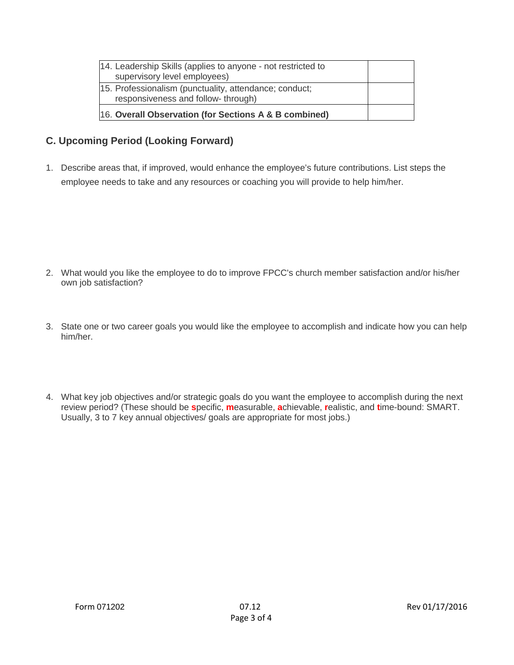| 14. Leadership Skills (applies to anyone - not restricted to<br>supervisory level employees)  |  |
|-----------------------------------------------------------------------------------------------|--|
| 15. Professionalism (punctuality, attendance; conduct;<br>responsiveness and follow- through) |  |
| 16. Overall Observation (for Sections A & B combined)                                         |  |

# **C. Upcoming Period (Looking Forward)**

1. Describe areas that, if improved, would enhance the employee's future contributions. List steps the employee needs to take and any resources or coaching you will provide to help him/her.

- 2. What would you like the employee to do to improve FPCC's church member satisfaction and/or his/her own job satisfaction?
- 3. State one or two career goals you would like the employee to accomplish and indicate how you can help him/her.
- 4. What key job objectives and/or strategic goals do you want the employee to accomplish during the next review period? (These should be **s**pecific, **m**easurable, **a**chievable, **r**ealistic, and **t**ime-bound: SMART. Usually, 3 to 7 key annual objectives/ goals are appropriate for most jobs.)